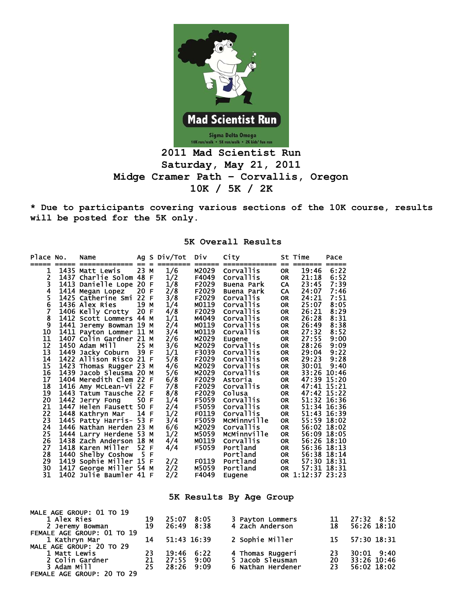

## **Saturday, May 21, 2011 Midge Cramer Path – Corvallis, Oregon 10K / 5K / 2K**

**\* Due to participants covering various sections of the 10K course, results will be posted for the 5K only.** 

| Place No.                                                                                                                                                                           | Name                                                                                                                                                                                                                                                                                                                                                                                                                                                                                                                                                                                                                                                                         |                                                                          |                                  | Ag S Div/Tot                                                                                                                                                                                                                 | Div                                                                                                                                                                                                                                                          | City                                                                                                                                                                                                                                                                                                                                                                                                                  |                                                                                                                                                                                                                                                                                                                                                 | St Time                                                                                                                                                                                     | Pace                                                                                                                                                                                                                                                  |
|-------------------------------------------------------------------------------------------------------------------------------------------------------------------------------------|------------------------------------------------------------------------------------------------------------------------------------------------------------------------------------------------------------------------------------------------------------------------------------------------------------------------------------------------------------------------------------------------------------------------------------------------------------------------------------------------------------------------------------------------------------------------------------------------------------------------------------------------------------------------------|--------------------------------------------------------------------------|----------------------------------|------------------------------------------------------------------------------------------------------------------------------------------------------------------------------------------------------------------------------|--------------------------------------------------------------------------------------------------------------------------------------------------------------------------------------------------------------------------------------------------------------|-----------------------------------------------------------------------------------------------------------------------------------------------------------------------------------------------------------------------------------------------------------------------------------------------------------------------------------------------------------------------------------------------------------------------|-------------------------------------------------------------------------------------------------------------------------------------------------------------------------------------------------------------------------------------------------------------------------------------------------------------------------------------------------|---------------------------------------------------------------------------------------------------------------------------------------------------------------------------------------------|-------------------------------------------------------------------------------------------------------------------------------------------------------------------------------------------------------------------------------------------------------|
| 1<br>$\frac{2}{3}$<br>$\overline{\mathbf{4}}$<br>$\frac{5}{6}$<br>7<br>8<br>9<br>10<br>11<br>12<br>13<br>14<br>15<br>16<br>17<br>18<br>19<br>20<br>21<br>22<br>23<br>24<br>25<br>26 | ===== =============<br>1435 Matt Lewis<br>1437 Charlie Solom 48 F<br>1413 Danielle Lope 20 F<br>1414 Megan Lopez<br>1425 Catherine Smi<br>1436 Alex Ries<br>1406 Kelly Crotty<br>1412 Scott Lommers 44 M<br>1441 Jeremy Bowman 19 M<br>1411 Payton Lommer 11 M<br>1407 Colin Gardner 21 M<br>1450 Adam Mill<br>1449 Jacky Coburn<br>1422 Allison Risco 21 F<br>1423 Thomas Rugger 23 M<br>1439 Jacob Sleusma 20 M<br>1404 Meredith Clem 22 F<br>1416 Amy McLean-Vi 22 F<br>1443 Tatum Tausche 22 F<br>1442 Jerry Fong<br>1447 Helen Fausett 50<br>1448 Kathryn Mar<br>1445 Patty Harris- 53 F<br>1446 Nathan Herden 23 M<br>1444 Larry Herdene 53 M<br>1438 Zach Anderson 18 | $== =$<br>23 M<br>20 F<br>22 F<br>19<br>20<br>25 M<br>39<br>50 F<br>14 F | M<br>$\mathsf{F}$<br>E<br>F<br>М | ========<br>1/6<br>1/2<br>1/8<br>2/8<br>3/8<br>1/4<br>4/8<br>1/1<br>2/4<br>$\frac{3}{4}$<br>$\frac{2}{6}$<br>$\frac{3}{6}$<br>1/1<br>5/8<br>4/6<br>5/6<br>6/8<br>7/8<br>8/8<br>1/4<br>2/4<br>1/2<br>3/4<br>6/6<br>1/2<br>4/4 | ======<br>M2029<br>F4049<br>F2029<br>F2029<br>F2029<br>M0119<br>F <sub>2029</sub><br>M4049<br>M0119<br>M0119<br>M2029<br>M2029<br>F3039<br>F2029<br>M2029<br>M2029<br>F2029<br>F2029<br>F2029<br>F5059<br>F5059<br>F0119<br>F5059<br>M2029<br>M5059<br>M0119 | =============<br>Corvallis<br>Corvallis<br>Buena Park<br>Buena Park<br>Corvallis<br>Corvallis<br>Corvallis<br><b>Corvallis</b><br>Corvallis<br><b>Corvallis</b><br>Eugene<br>Corvallis<br><b>Corvallis</b><br><b>Corvallis</b><br><b>Corvallis</b><br><b>Corvallis</b><br>Astoria<br><b>Corvallis</b><br>Colusa<br>Corvallis<br>Corvallis<br>Corvallis<br>McMinnville<br><b>Corvallis</b><br>McMinnville<br>Corvallis | $==$<br><b>OR</b><br><b>OR</b><br><b>CA</b><br>CA<br><b>OR</b><br><b>OR</b><br><b>OR</b><br><b>OR</b><br><b>OR</b><br><b>OR</b><br><b>OR</b><br><b>OR</b><br><b>OR</b><br><b>OR</b><br><b>OR</b><br><b>OR</b><br><b>OR</b><br><b>OR</b><br><b>OR</b><br><b>OR</b><br><b>OR</b><br><b>OR</b><br><b>OR</b><br><b>OR</b><br><b>OR</b><br><b>OR</b> | =======<br>19:46<br>21:18<br>23:45<br>24:07<br>24:21<br>25:07<br>26:21<br>26:28<br>26:49<br>27:32<br>27:55<br>28:26<br>29:04<br>29:23<br>30:01<br>47:39 15:20<br>47:41 15:21<br>47:42 15:22 | =====<br>6:22<br>6:52<br>7:39<br>7:46<br>7:51<br>8:05<br>8:29<br>8:31<br>8:38<br>8:52<br>9:00<br>9:09<br>9:22<br>9:28<br>9:40<br>33:26 10:46<br>51:32 16:36<br>51:34 16:36<br>51:43 16:39<br>55:59 18:02<br>56:02 18:02<br>56:09 18:05<br>56:26 18:10 |
| 27<br>28<br>29<br>30<br>31                                                                                                                                                          | 1418 Karen Miller<br>1440 Shelby Coshow<br>1419 Sophie Miller 15 F<br>1417 George Miller 54 M<br>1402 Julie Baumler 41 F                                                                                                                                                                                                                                                                                                                                                                                                                                                                                                                                                     | 52<br>5 F                                                                | F                                | 4/4<br>2/2<br>2/2<br>2/2                                                                                                                                                                                                     | F5059<br>F0119<br>M5059<br>F4049                                                                                                                                                                                                                             | Portland<br>Portland<br>Portland<br>Portland<br>Eugene                                                                                                                                                                                                                                                                                                                                                                | <b>OR</b><br><b>OR</b><br>OR<br><b>OR</b>                                                                                                                                                                                                                                                                                                       | OR 1:12:37 23:23                                                                                                                                                                            | 56:36 18:13<br>56:38 18:14<br>57:30 18:31<br>57:31 18:31                                                                                                                                                                                              |
|                                                                                                                                                                                     |                                                                                                                                                                                                                                                                                                                                                                                                                                                                                                                                                                                                                                                                              |                                                                          |                                  |                                                                                                                                                                                                                              |                                                                                                                                                                                                                                                              |                                                                                                                                                                                                                                                                                                                                                                                                                       |                                                                                                                                                                                                                                                                                                                                                 |                                                                                                                                                                                             |                                                                                                                                                                                                                                                       |

**5K Overall Results** 

**5K Results By Age Group** 

| MALE AGE GROUP: 01 TO 19       |          |                     |      |                                     |    |                           |
|--------------------------------|----------|---------------------|------|-------------------------------------|----|---------------------------|
| 1 Alex Ries<br>2 Jeremy Bowman | 19<br>19 | 25:07<br>26:49 8:38 | 8:05 | 3 Payton Lommers<br>4 Zach Anderson | 18 | 27:32 8:52<br>56:26 18:10 |
| FEMALE AGE GROUP: 01 TO 19     |          |                     |      |                                     |    |                           |
| 1 Kathryn Mar                  | 14       | 51:43 16:39         |      | 2 Sophie Miller                     | 15 | 57:30 18:31               |
| MALE AGE GROUP: 20 TO 29       |          |                     |      |                                     |    |                           |
| 1 Matt Lewis                   | -23      | 19:46               | 6:22 | 4 Thomas Ruggeri                    | 23 | $30:01$ $9:40$            |
| 2 Colin Gardner                | 21       | 27:55               | 9:00 | 5 Jacob Sleusman                    | 20 | 33:26 10:46               |
| 3 Adam Mill                    | 25       | 28:26               | 9:09 | 6 Nathan Herdener                   | 23 | 56:02 18:02               |
| FEMALE AGE GROUP: 20 TO 29     |          |                     |      |                                     |    |                           |